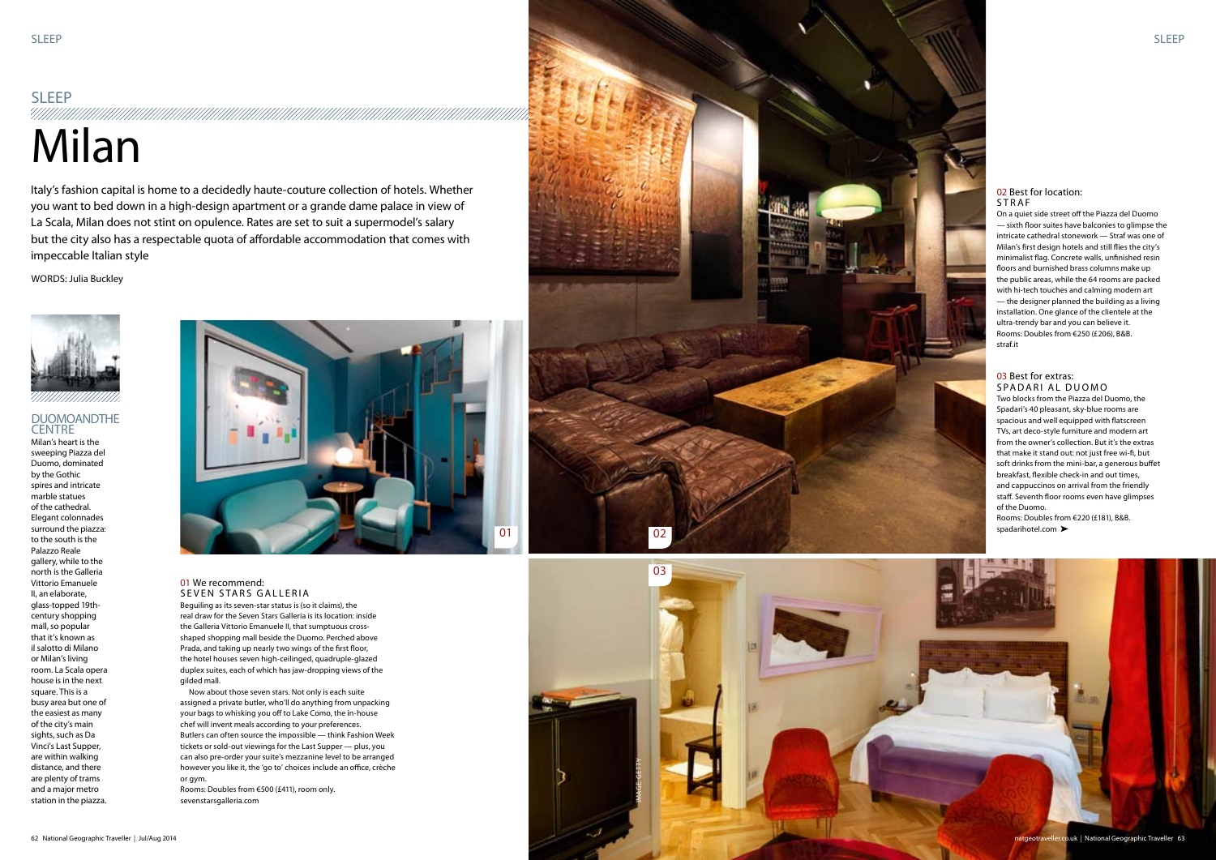## **SLEEP**

# 4/1/1/1/1/1 Milan



Italy's fashion capital is home to a decidedly haute-couture collection of hotels. Whether you want to bed down in a high-design apartment or a grande dame palace in view of La Scala, Milan does not stint on opulence. Rates are set to suit a supermodel's salary but the city also has a respectable quota of affordable accommodation that comes with impeccable Italian style

WORDS: Julia Buckley



#### 01 We recommend: SEVEN STARS GALLERIA

Beguiling as its seven-star status is (so it claims), the real draw for the Seven Stars Galleria is its location: inside the Galleria Vittorio Emanuele II, that sumptuous crossshaped shopping mall beside the Duomo. Perched above Prada, and taking up nearly two wings of the first floor, the hotel houses seven high-ceilinged, quadruple-glazed duplex suites, each of which has jaw-dropping views of the gilded mall.

#### 03 Best for extras: SPADARI AL DUO

Rooms: Doubles from €220 (£181), B&B. spadarihotel.com >

#### 02 Best for location: **STRAF**

Now about those seven stars. Not only is each suite assigned a private butler, who'll do anything from unpacking your bags to whisking you off to Lake Como, the in-house chef will invent meals according to your preferences. Butlers can often source the impossible — think Fashion Week tickets or sold-out viewings for the Last Supper — plus, you can also pre-order your suite's mezzanine level to be arranged however you like it, the 'go to' choices include an office, crèche or gym.

#### DUOMOANDTHE **CENTRE** Milan's heart is the

Rooms: Doubles from €500 (£411), room only. sevenstarsgalleria.com



Two blocks from the Piazza del Duomo, the Spadari's 40 pleasant, sky-blue rooms are spacious and well equipped with flatscreen TVs, art deco-style furniture and modern art from the owner's collection. But it's the extras that make it stand out: not just free wi-fi, but soft drinks from the mini-bar, a generous buffet breakfast, flexible check-in and out times, and cappuccinos on arrival from the friendly staff. Seventh floor rooms even have glimpses of the Duomo.

On a quiet side street off the Piazza del Duomo — sixth floor suites have balconies to glimpse the intricate cathedral stonework — Straf was one of Milan's first design hotels and still flies the city's minimalist flag. Concrete walls, unfinished resin floors and burnished brass columns make up the public areas, while the 64 rooms are packed with hi-tech touches and calming modern art — the designer planned the building as a living installation. One glance of the clientele at the ultra-trendy bar and you can believe it. Rooms: Doubles from €250 (£206), B&B. straf.it

sweeping Piazza del Duomo, dominated by the Gothic spires and intricate marble statues of the cathedral. Elegant colonnades surround the piazza: to the south is the Palazzo Reale gallery, while to the north is the Galleria Vittorio Emanuele II, an elaborate, glass-topped 19thcentury shopping mall, so popular that it's known as il salotto di Milano or Milan's living room. La Scala opera house is in the next square. This is a busy area but one of the easiest as many of the city's main sights, such as Da Vinci's Last Supper, are within walking distance, and there are plenty of trams and a major metro station in the piazza.



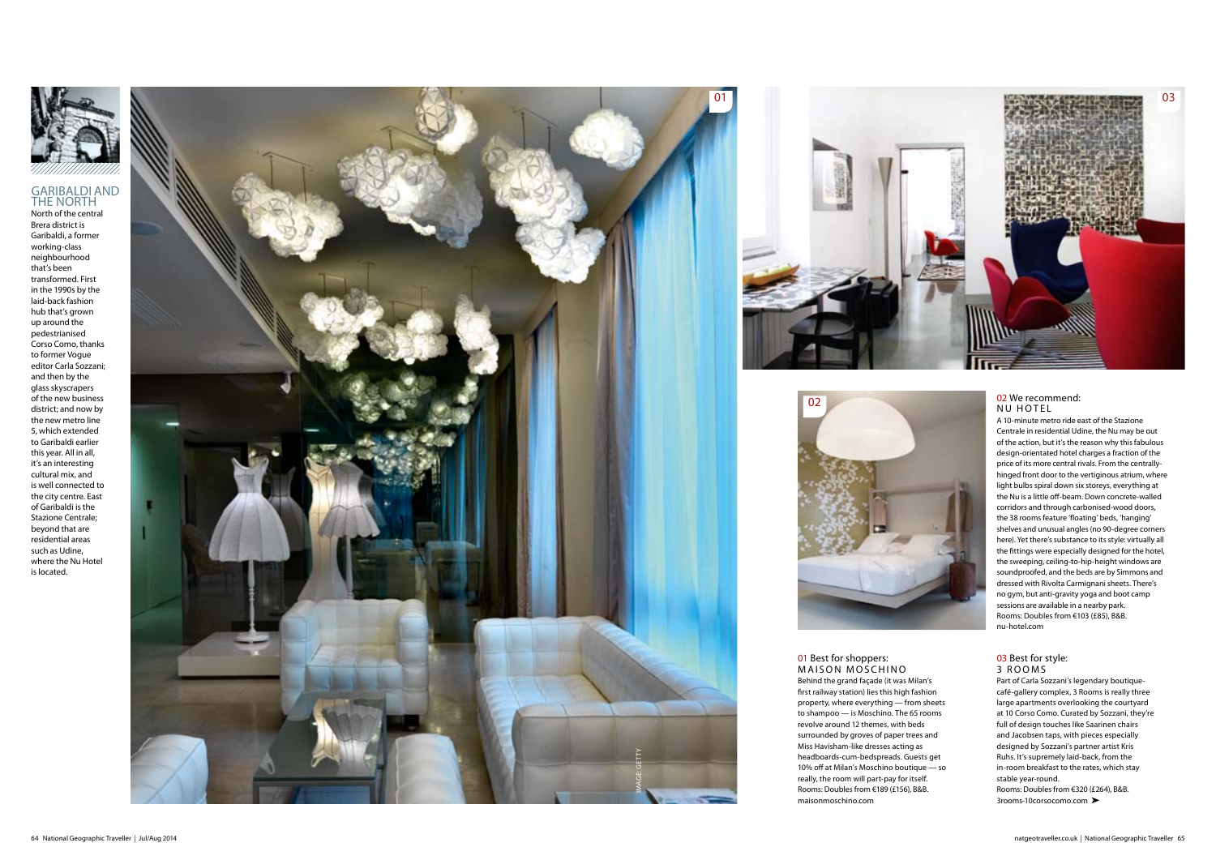

#### GARIBALDI AND THE NORTH





North of the central<br>Brera district is Garibaldi, a former working-class neighbourhood that's been transformed. First in the 1990s by the laid-back fashion hub that's grown up around the pedestrianised Corso Como, thanks to former Vogue editor Carla Sozzani; and then by the glass skyscrapers of the new business district; and now by the new metro line 5, which extended to Garibaldi earlier this year. All in all, it's an interesting cultural mix, and is well connected to the city centre. East of Garibaldi is the Stazione Centrale; beyond that are residential areas such as Udine, where the Nu Hotel is located.



#### 02 We recommend: NU HOTE L

#### 01 Best for shoppers: MAISON MOSCHINO

A 10-minute metro ride east of the Stazione Centrale in residential Udine, the Nu may be out of the action, but it's the reason why this fabulous design-orientated hotel charges a fraction of the price of its more central rivals. From the centrallyhinged front door to the vertiginous atrium, where light bulbs spiral down six storeys, everything at the Nu is a little off-beam. Down concrete-walled corridors and through carbonised-wood doors, the 38 rooms feature 'floating' beds, 'hanging' shelves and unusual angles (no 90-degree corners here). Yet there's substance to its style: virtually all the fittings were especially designed for the hotel, the sweeping, ceiling-to-hip-height windows are soundproofed, and the beds are by Simmons and dressed with Rivolta Carmignani sheets. There's no gym, but anti-gravity yoga and boot camp sessions are available in a nearby park. Rooms: Doubles from €103 (£85), B&B. nu-hotel.com

#### 03 Best for style: 3 ROOM S

Part of Carla Sozzani's legendary boutiquecafé-gallery complex, 3 Rooms is really three large apartments overlooking the courtyard at 10 Corso Como. Curated by Sozzani, they're full of design touches like Saarinen chairs and Jacobsen taps, with pieces especially designed by Sozzani's partner artist Kris Ruhs. It's supremely laid-back, from the in-room breakfast to the rates, which stay stable year-round. Rooms: Doubles from €320 (£264), B&B. 3rooms-10corsocomo.com

Behind the grand façade (it was Milan's first railway station) lies this high fashion property, where everything — from sheets to shampoo — is Moschino. The 65 rooms revolve around 12 themes, with beds surrounded by groves of paper trees and<br>Miss Havisham-like dresses acting as headboards-cum-bedspreads. Guests get 10% off at Milan's Moschino boutique — so really, the room will part-pay for itself. Rooms: Doubles from €189 (£156), B&B. maisonmoschino.com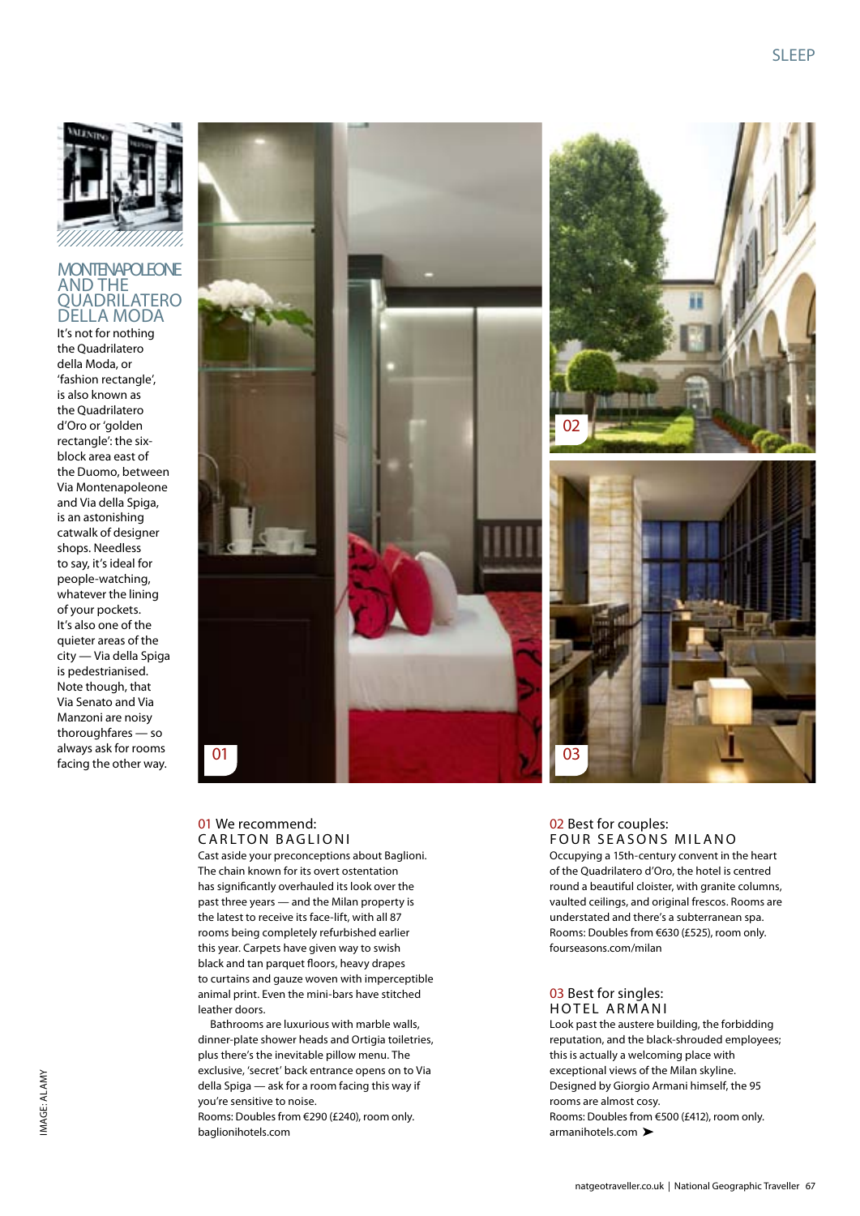

#### **MONTENAPOLEONE** AND THE QUADRILATERO DELLA MODA

It's not for nothing the Quadrilatero della Moda, or 'fashion rectangle', is also known as the Quadrilatero d'Oro or 'golden rectangle': the sixblock area east of the Duomo, between Via Montenapoleone and Via della Spiga, is an astonishing catwalk of designer shops. Needless to say, it's ideal for people-watching, whatever the lining of your pockets. It's also one of the quieter areas of the city — Via della Spiga is pedestrianised. Note though, that Via Senato and Via Manzoni are noisy thoroughfares — so always ask for rooms facing the other way.





#### 01 We recommend: **CARLTON BAGLIONI**

Cast aside your preconceptions about Baglioni. The chain known for its overt ostentation has significantly overhauled its look over the past three years — and the Milan property is the latest to receive its face-lift, with all 87 rooms being completely refurbished earlier this year. Carpets have given way to swish black and tan parquet floors, heavy drapes to curtains and gauze woven with imperceptible animal print. Even the mini-bars have stitched leather doors.

Bathrooms are luxurious with marble walls, dinner-plate shower heads and Ortigia toiletries, plus there's the inevitable pillow menu. The exclusive, 'secret' back entrance opens on to Via della Spiga — ask for a room facing this way if you're sensitive to noise.

Rooms: Doubles from €290 (£240), room only. baglionihotels.com

#### 02 Best for couples: FOUR SEASONS MILANO

Occupying a 15th-century convent in the heart of the Quadrilatero d'Oro, the hotel is centred round a beautiful cloister, with granite columns, vaulted ceilings, and original frescos. Rooms are understated and there's a subterranean spa. Rooms: Doubles from €630 (£525), room only. fourseasons.com/milan

#### 03 Best for singles: HOTEL ARMANI

Look past the austere building, the forbidding reputation, and the black-shrouded employees; this is actually a welcoming place with exceptional views of the Milan skyline. Designed by Giorgio Armani himself, the 95 rooms are almost cosy. Rooms: Doubles from €500 (£412), room only. armanihotels.com >